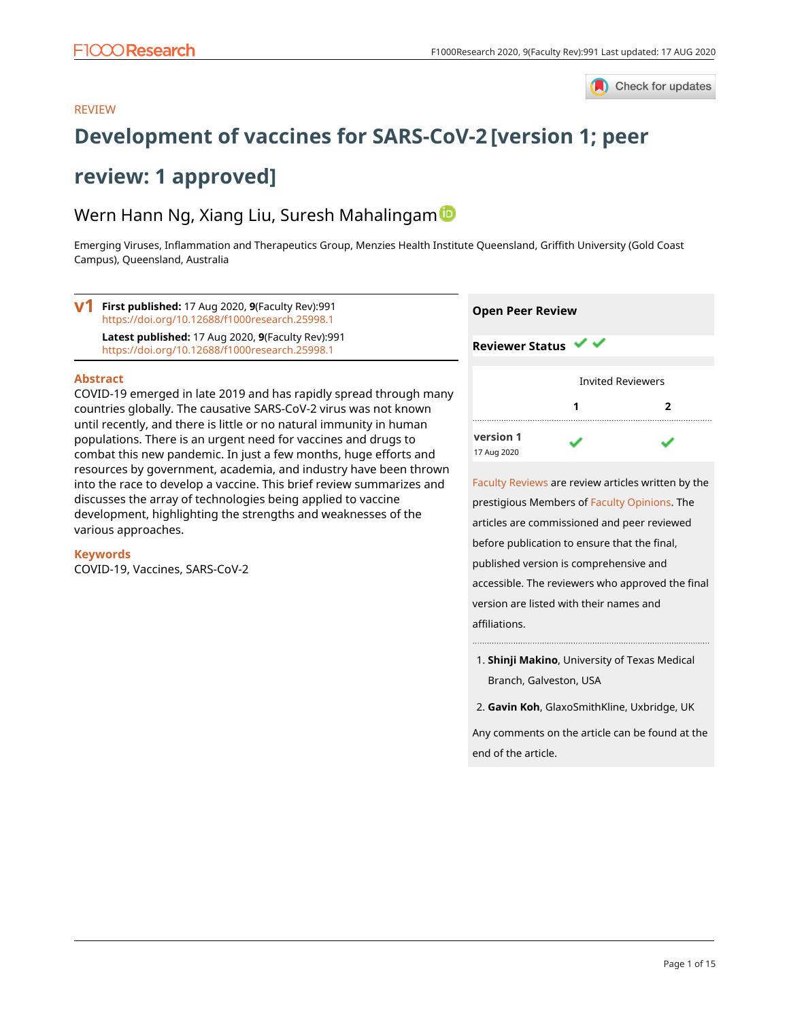

#### REVIEW

# **[Development of vaccines for SARS-CoV-2](https://f1000research.com/articles/9-991/v1) [version 1; peer**

# **review: 1 approved]**

## Wern Hann Ng, Xiang Liu, Suresh Mahalingam

Emerging Viruses, Inflammation and Therapeutics Group, Menzies Health Institute Queensland, Griffith University (Gold Coast Campus), Queensland, Australia



#### **Abstract**

COVID-19 emerged in late 2019 and has rapidly spread through many countries globally. The causative SARS-CoV-2 virus was not known until recently, and there is little or no natural immunity in human populations. There is an urgent need for vaccines and drugs to combat this new pandemic. In just a few months, huge efforts and resources by government, academia, and industry have been thrown into the race to develop a vaccine. This brief review summarizes and discusses the array of technologies being applied to vaccine development, highlighting the strengths and weaknesses of the various approaches.

#### **Keywords**

COVID-19, Vaccines, SARS-CoV-2



**[version 1](https://f1000research.com/articles/9-991/v1)** 17 Aug 2020

[Faculty Reviews](https://f1000research.com/browse/faculty-reviews) are review articles written by the prestigious Members of [Faculty Opinions.](https://facultyopinions.com/prime/home) The articles are commissioned and peer reviewed before publication to ensure that the final, published version is comprehensive and accessible. The reviewers who approved the final version are listed with their names and affiliations.

- **Shinji Makino**, University of Texas Medical 1. Branch, Galveston, USA
- 2. **Gavin Koh**, GlaxoSmithKline, Uxbridge, UK

Any comments on the article can be found at the end of the article.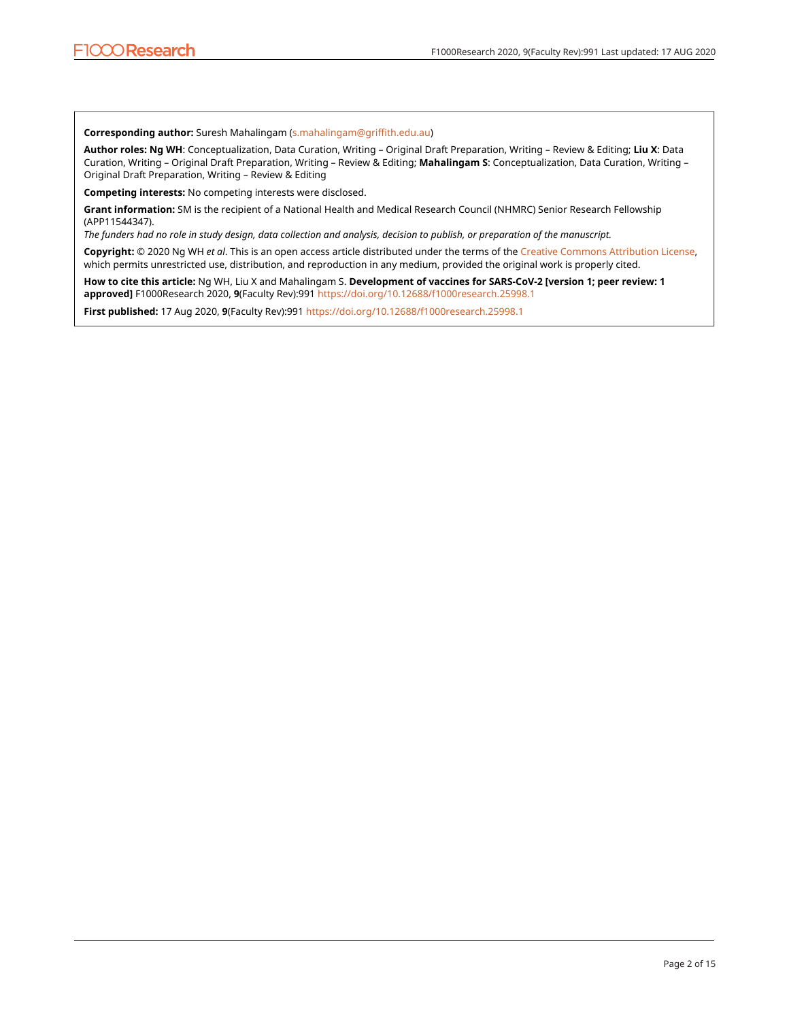**Corresponding author:** Suresh Mahalingam ([s.mahalingam@griffith.edu.au](mailto:s.mahalingam@griffith.edu.au))

**Author roles: Ng WH**: Conceptualization, Data Curation, Writing – Original Draft Preparation, Writing – Review & Editing; **Liu X**: Data Curation, Writing – Original Draft Preparation, Writing – Review & Editing; **Mahalingam S**: Conceptualization, Data Curation, Writing – Original Draft Preparation, Writing – Review & Editing

**Competing interests:** No competing interests were disclosed.

**Grant information:** SM is the recipient of a National Health and Medical Research Council (NHMRC) Senior Research Fellowship (APP11544347).

*The funders had no role in study design, data collection and analysis, decision to publish, or preparation of the manuscript.*

**Copyright:** © 2020 Ng WH *et al*. This is an open access article distributed under the terms of the [Creative Commons Attribution License](http://creativecommons.org/licenses/by/4.0/), which permits unrestricted use, distribution, and reproduction in any medium, provided the original work is properly cited.

**How to cite this article:** Ng WH, Liu X and Mahalingam S. **Development of vaccines for SARS-CoV-2 [version 1; peer review: 1 approved]** F1000Research 2020, **9**(Faculty Rev):991 <https://doi.org/10.12688/f1000research.25998.1>

**First published:** 17 Aug 2020, **9**(Faculty Rev):991 <https://doi.org/10.12688/f1000research.25998.1>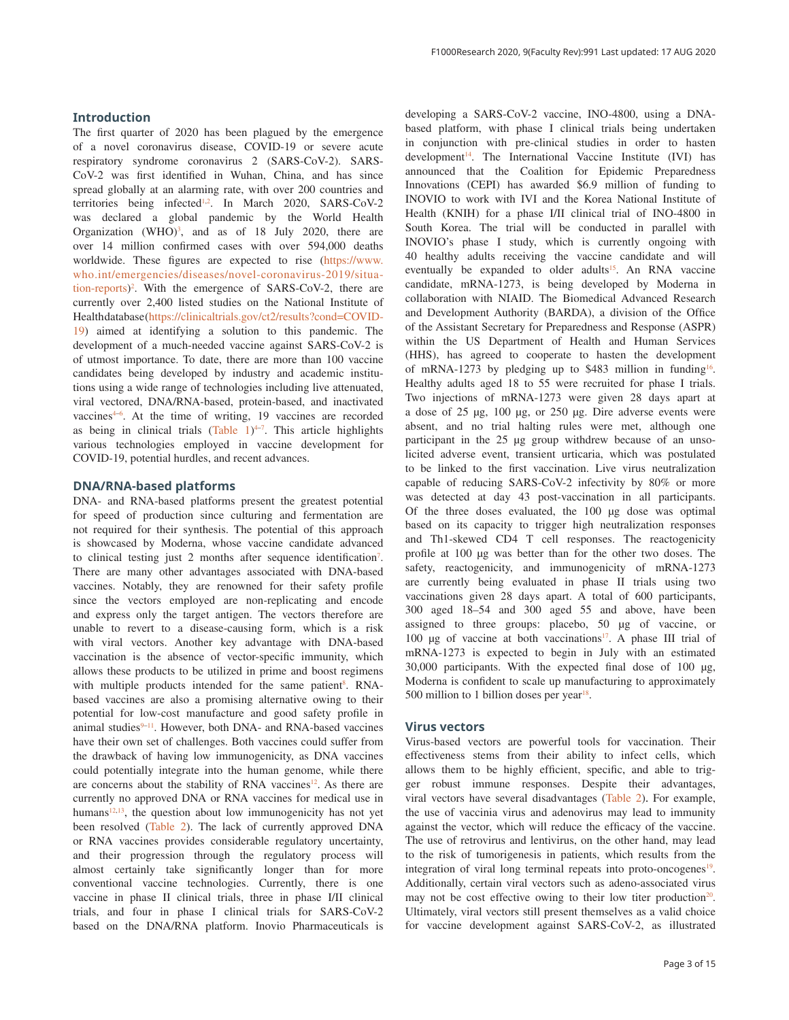#### **Introduction**

The first quarter of 2020 has been plagued by the emergence of a novel coronavirus disease, COVID-19 or severe acute respiratory syndrome coronavirus 2 (SARS-CoV-2). SARS-CoV-2 was first identified in Wuhan, China, and has since spread globally at an alarming rate, with over 200 countries and territories being infected<sup>1,2</sup>. In March 2020, SARS-CoV-2 was declared a global pandemic by the World Health Organization  $(WHO)^3$ , and as of 18 July 2020, there are over 14 million confirmed cases with over 594,000 deaths worldwide. These figures are expected to rise (https://www. who.int/emergencies/diseases/novel-coronavirus-2019/situation-reports) 2 . With the emergence of SARS-CoV-2, there are currently over 2,400 listed studies on the National Institute of Health database (https://clinicaltrials.gov/ct2/results?cond=COVID-19) aimed at identifying a solution to this pandemic. The development of a much-needed vaccine against SARS-CoV-2 is of utmost importance. To date, there are more than 100 vaccine candidates being developed by industry and academic institutions using a wide range of technologies including live attenuated, viral vectored, DNA/RNA-based, protein-based, and inactivated vaccines<sup>4-6</sup>. At the time of writing, 19 vaccines are recorded as being in clinical trials  $(Table 1)^{4-7}$ . This article highlights various technologies employed in vaccine development for COVID-19, potential hurdles, and recent advances.

#### **DNA/RNA-based platforms**

DNA- and RNA-based platforms present the greatest potential for speed of production since culturing and fermentation are not required for their synthesis. The potential of this approach is showcased by Moderna, whose vaccine candidate advanced to clinical testing just 2 months after sequence identification<sup>7</sup>. There are many other advantages associated with DNA-based vaccines. Notably, they are renowned for their safety profile since the vectors employed are non-replicating and encode and express only the target antigen. The vectors therefore are unable to revert to a disease-causing form, which is a risk with viral vectors. Another key advantage with DNA-based vaccination is the absence of vector-specific immunity, which allows these products to be utilized in prime and boost regimens with multiple products intended for the same patient<sup>8</sup>. RNAbased vaccines are also a promising alternative owing to their potential for low-cost manufacture and good safety profile in animal studies<sup>9–11</sup>. However, both DNA- and RNA-based vaccines have their own set of challenges. Both vaccines could suffer from the drawback of having low immunogenicity, as DNA vaccines could potentially integrate into the human genome, while there are concerns about the stability of RNA vaccines<sup>12</sup>. As there are currently no approved DNA or RNA vaccines for medical use in humans<sup>12,13</sup>, the question about low immunogenicity has not yet been resolved (Table 2). The lack of currently approved DNA or RNA vaccines provides considerable regulatory uncertainty, and their progression through the regulatory process will almost certainly take significantly longer than for more conventional vaccine technologies. Currently, there is one vaccine in phase II clinical trials, three in phase I/II clinical trials, and four in phase I clinical trials for SARS-CoV-2 based on the DNA/RNA platform. Inovio Pharmaceuticals is

developing a SARS-CoV-2 vaccine, INO-4800, using a DNAbased platform, with phase I clinical trials being undertaken in conjunction with pre-clinical studies in order to hasten development<sup>14</sup>. The International Vaccine Institute (IVI) has announced that the Coalition for Epidemic Preparedness Innovations (CEPI) has awarded \$6.9 million of funding to INOVIO to work with IVI and the Korea National Institute of Health (KNIH) for a phase I/II clinical trial of INO-4800 in South Korea. The trial will be conducted in parallel with INOVIO's phase I study, which is currently ongoing with 40 healthy adults receiving the vaccine candidate and will eventually be expanded to older adults<sup>15</sup>. An RNA vaccine candidate, mRNA-1273, is being developed by Moderna in collaboration with NIAID. The Biomedical Advanced Research and Development Authority (BARDA), a division of the Office of the Assistant Secretary for Preparedness and Response (ASPR) within the US Department of Health and Human Services (HHS), has agreed to cooperate to hasten the development of mRNA-1273 by pledging up to \$483 million in funding<sup>16</sup>. Healthy adults aged 18 to 55 were recruited for phase I trials. Two injections of mRNA-1273 were given 28 days apart at a dose of 25 µg, 100 µg, or 250 µg. Dire adverse events were absent, and no trial halting rules were met, although one participant in the 25 µg group withdrew because of an unsolicited adverse event, transient urticaria, which was postulated to be linked to the first vaccination. Live virus neutralization capable of reducing SARS-CoV-2 infectivity by 80% or more was detected at day 43 post-vaccination in all participants. Of the three doses evaluated, the 100 µg dose was optimal based on its capacity to trigger high neutralization responses and Th1-skewed CD4 T cell responses. The reactogenicity profile at 100 µg was better than for the other two doses. The safety, reactogenicity, and immunogenicity of mRNA-1273 are currently being evaluated in phase II trials using two vaccinations given 28 days apart. A total of 600 participants, 300 aged 18–54 and 300 aged 55 and above, have been assigned to three groups: placebo, 50 µg of vaccine, or 100  $\mu$ g of vaccine at both vaccinations<sup>17</sup>. A phase III trial of mRNA-1273 is expected to begin in July with an estimated 30,000 participants. With the expected final dose of 100 µg, Moderna is confident to scale up manufacturing to approximately 500 million to 1 billion doses per year $18$ .

#### **Virus vectors**

Virus-based vectors are powerful tools for vaccination. Their effectiveness stems from their ability to infect cells, which allows them to be highly efficient, specific, and able to trigger robust immune responses. Despite their advantages, viral vectors have several disadvantages (Table 2). For example, the use of vaccinia virus and adenovirus may lead to immunity against the vector, which will reduce the efficacy of the vaccine. The use of retrovirus and lentivirus, on the other hand, may lead to the risk of tumorigenesis in patients, which results from the integration of viral long terminal repeats into proto-oncogenes<sup>19</sup>. Additionally, certain viral vectors such as adeno-associated virus may not be cost effective owing to their low titer production<sup>20</sup>. Ultimately, viral vectors still present themselves as a valid choice for vaccine development against SARS-CoV-2, as illustrated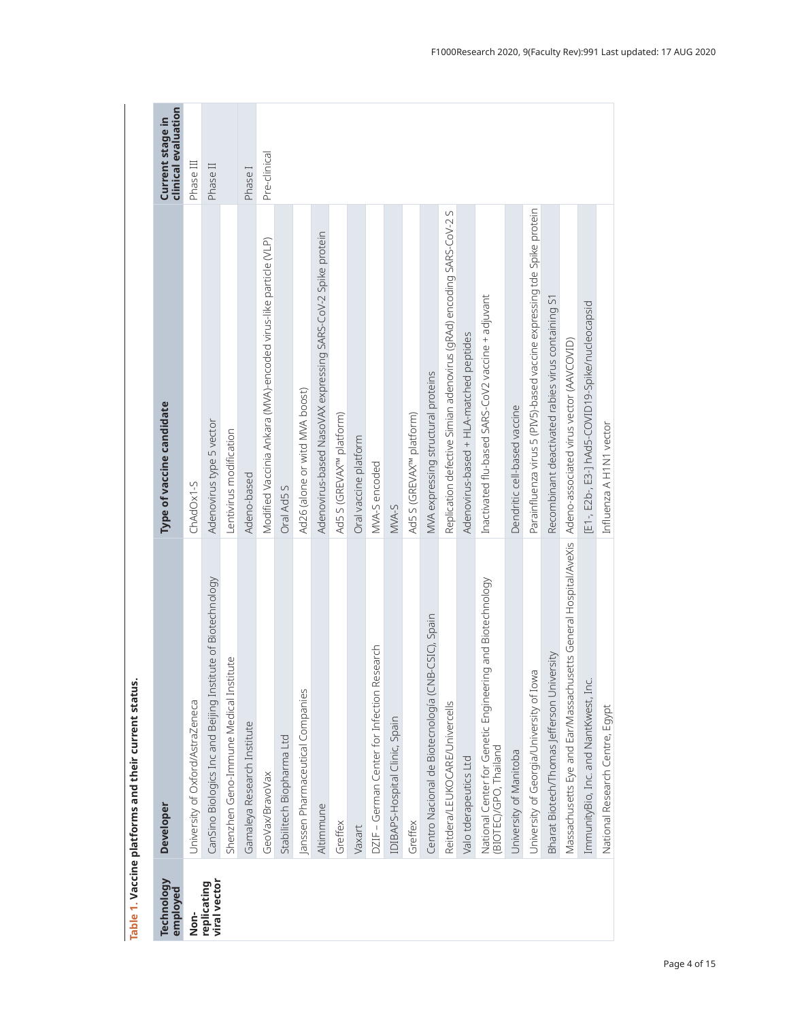| Technology<br>employed      | <b>Developer</b>                                                                                           | Type of vaccine candidate                                               | clinical evaluation<br>Current stage in |
|-----------------------------|------------------------------------------------------------------------------------------------------------|-------------------------------------------------------------------------|-----------------------------------------|
| Non-                        | University of Oxford/AstraZeneca                                                                           | ChAdOx1-S                                                               | Phase III                               |
| viral vector<br>replicating | CanSino Biologics Inc and Beijing Institute of Biotechnology                                               | Adenovirus type 5 vector                                                | Phase II                                |
|                             | Shenzhen Geno-Immune Medical Institute                                                                     | Lentivirus modification                                                 |                                         |
|                             | Gamaleya Research Institute                                                                                | Adeno-based                                                             | Phase I                                 |
|                             | GeoVax/BravoVax                                                                                            | Modified Vaccinia Ankara (MVA)-encoded virus-like particle (VLP)        | Pre-clinical                            |
|                             | Stabilitech Biopharma Ltd                                                                                  | Oral Ad5 S                                                              |                                         |
|                             | Janssen Pharmaceutical Companies                                                                           | Ad26 (alone or witd MVA boost)                                          |                                         |
|                             | Altimmune                                                                                                  | Adenovirus-based NasoVAX expressing SARS-CoV-2 Spike protein            |                                         |
|                             | Greffex                                                                                                    | Ad5 S (GREVAX <sup>w</sup> platform)                                    |                                         |
|                             | Vaxart                                                                                                     | Oral vaccine platform                                                   |                                         |
|                             | DZIF - German Center for Infection Research                                                                | MVA-S encoded                                                           |                                         |
|                             | IDIBAPS-Hospital Clinic, Spain                                                                             | MVA-S                                                                   |                                         |
|                             | Greffex                                                                                                    | Ad5 S (GREVAX <sup>m</sup> platform)                                    |                                         |
|                             | Centro Nacional de Biotecnología (CNB-CSIC), Spain                                                         | MVA expressing structural proteins                                      |                                         |
|                             | Reitdera/LEUKOCARE/Univercells                                                                             | Replication defective Simian adenovirus (gRAd) encoding SARS-CoV-2 S    |                                         |
|                             | Valo tderapeutics Ltd                                                                                      | Adenovirus-based + HLA-matched peptides                                 |                                         |
|                             | National Center for Genetic Engineering and Biotechnology<br>BIOTEC/GPO, Thailand                          | Inactivated flu-based SARS-CoV2 vaccine + adjuvant                      |                                         |
|                             | University of Manitoba                                                                                     | Dendritic cell-based vaccine                                            |                                         |
|                             | University of Georgia/University of Iowa                                                                   | Parainfluenza virus 5 (PIV5)-based vaccine expressing tde Spike protein |                                         |
|                             | Bharat Biotech/Thomas Jefferson University                                                                 | Recombinant deactivated rabies virus containing S1                      |                                         |
|                             | Massachusetts Eye and Ear/Massachusetts General Hospital/AveXis   Adeno-associated virus vector (AAVCOVID) |                                                                         |                                         |
|                             | ImmunityBio, Inc. and NantKwest, Inc.                                                                      | [E1-, E2b-, E3-] hAd5-COVID19-Spike/nucleocapsid                        |                                         |
|                             | National Research Centre, Egypt                                                                            | Influenza A H1N1 vector                                                 |                                         |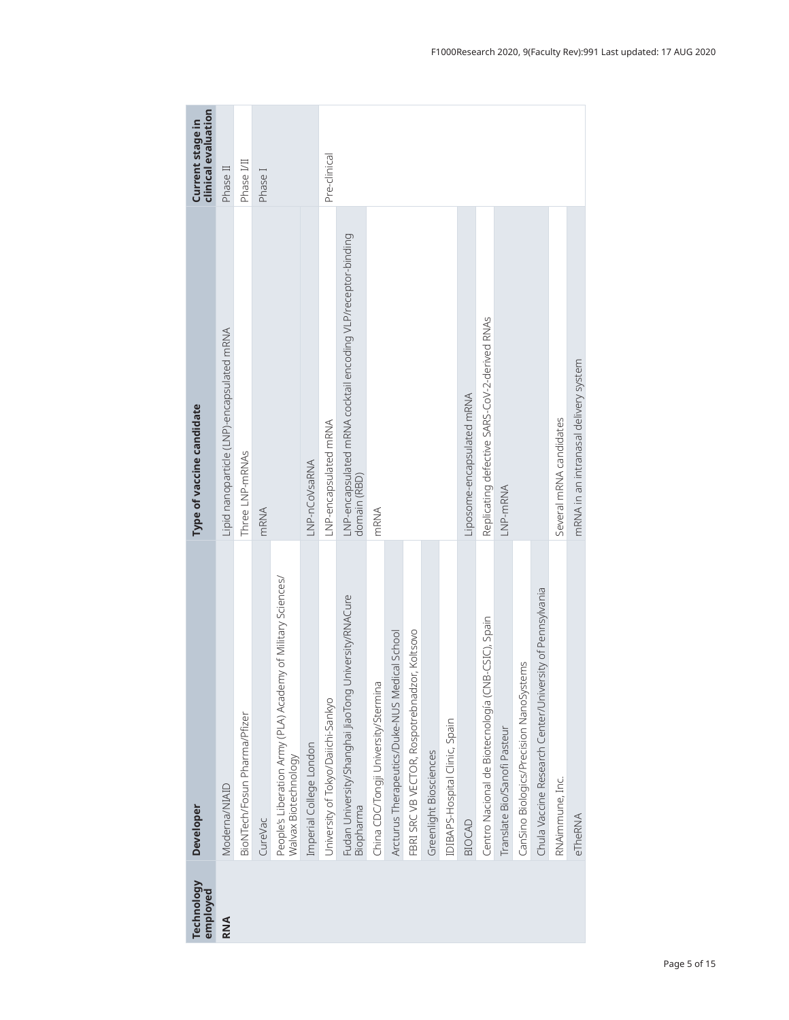| <b>Technology</b><br>employed | <b>Developer</b>                                                                     | Type of vaccine candidate                                                    | clinical evaluation<br>Current stage in |
|-------------------------------|--------------------------------------------------------------------------------------|------------------------------------------------------------------------------|-----------------------------------------|
| <b>RNA</b>                    | Moderna/NIAID                                                                        | Lipid nanoparticle (LNP)-encapsulated mRNA                                   | Phase II                                |
|                               | BioNTech/Fosun Pharma/Pfizer                                                         | Three LNP-mRNAs                                                              | Phase I/II                              |
|                               | CureVac                                                                              | <b>mRNA</b>                                                                  | Phase <sub>I</sub>                      |
|                               | People's Liberation Army (PLA) Academy of Military Sciences/<br>Walvax Biotechnology |                                                                              |                                         |
|                               | Imperial College London                                                              | LNP-nCoVsaRNA                                                                |                                         |
|                               | University of Tokyo/Daiichi-Sankyo                                                   | LNP-encapsulated mRNA                                                        | Pre-clinical                            |
|                               | University/RNACure<br>Fudan University/Shanghai JiaoTong<br>Biopharma                | LNP-encapsulated mRNA cocktail encoding VLP/receptor-binding<br>domain (RBD) |                                         |
|                               | China CDC/Tongji University/Stermina                                                 | <b>MRNA</b>                                                                  |                                         |
|                               | Arcturus Therapeutics/Duke-NUS Medical School                                        |                                                                              |                                         |
|                               | FBRI SRC VB VECTOR, Rospotrebnadzor, Koltsovo                                        |                                                                              |                                         |
|                               | Greenlight Biosciences                                                               |                                                                              |                                         |
|                               | IDIBAPS-Hospital Clinic, Spain                                                       |                                                                              |                                         |
|                               | <b>BIOCAD</b>                                                                        | Liposome-encapsulated mRNA                                                   |                                         |
|                               | Centro Nacional de Biotecnología (CNB-CSIC), Spain                                   | Replicating defective SARS-CoV-2-derived RNAs                                |                                         |
|                               | Translate Bio/Sanofi Pasteur                                                         | LNP-mRNA                                                                     |                                         |
|                               | CanSino Biologics/Precision NanoSystems                                              |                                                                              |                                         |
|                               | Chula Vaccine Research Center/University of Pennsylvania                             |                                                                              |                                         |
|                               | RNAimmune, Inc.                                                                      | Several mRNA candidates                                                      |                                         |
|                               | eTheRNA                                                                              | mRNA in an intranasal delivery system                                        |                                         |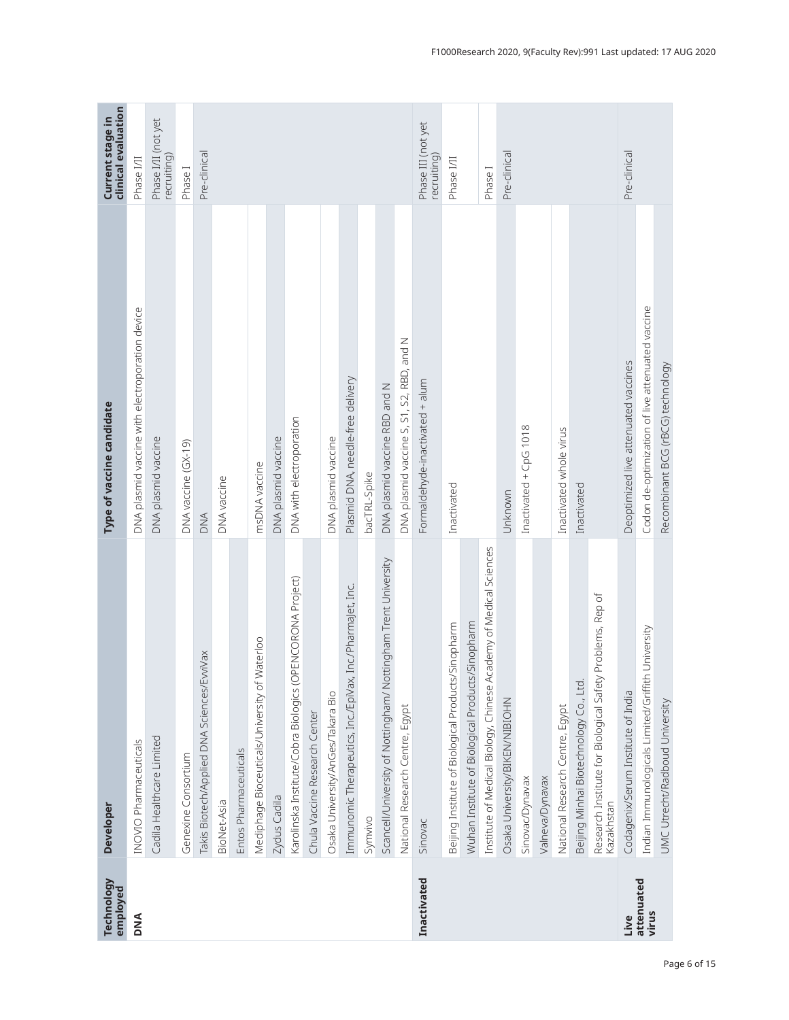| <b>Technology</b><br>employed | <b>Developer</b>                                                        | Type of vaccine candidate                        | clinical evaluation<br>Current stage in |
|-------------------------------|-------------------------------------------------------------------------|--------------------------------------------------|-----------------------------------------|
| <b>DNA</b>                    | INOVIO Pharmaceuticals                                                  | DNA plasmid vaccine with electroporation device  | Phase I/II                              |
|                               | Cadila Healthcare Limited                                               | DNA plasmid vaccine                              | Phase I/II (not yet<br>recruiting)      |
|                               | Genexine Consortium                                                     | DNA vaccine (GX-19)                              | Phase <sub>I</sub>                      |
|                               | Takis Biotech/Applied DNA Sciences/EvviVax                              | <b>DNA</b>                                       | Pre-clinical                            |
|                               | BioNet-Asia                                                             | DNA vaccine                                      |                                         |
|                               | Entos Pharmaceuticals                                                   |                                                  |                                         |
|                               | Mediphage Bioceuticals/University of Waterloo                           | msDNA vaccine                                    |                                         |
|                               | Zydus Cadila                                                            | DNA plasmid vaccine                              |                                         |
|                               | Karolinska Institute/Cobra Biologics (OPENCORONA Project)               | DNA with electroporation                         |                                         |
|                               | Chula Vaccine Research Center                                           |                                                  |                                         |
|                               | Osaka University/AnGes/Takara Bio                                       | DNA plasmid vaccine                              |                                         |
|                               | Immunomic Therapeutics, Inc./EpiVax, Inc./PharmaJet, Inc.               | Plasmid DNA, needle-free delivery                |                                         |
|                               | Symvivo                                                                 | bacTRL-Spike                                     |                                         |
|                               | Scancell/University of Nottingham/ Nottingham Trent University          | DNA plasmid vaccine RBD and N                    |                                         |
|                               | National Research Centre, Egypt                                         | DNA plasmid vaccine S, S1, S2, RBD, and N        |                                         |
| Inactivated                   | Sinovac                                                                 | Formaldehyde-inactivated + alum                  | Phase III (not yet<br>recruiting)       |
|                               | Beijing Institute of Biological Products/Sinopharm                      | Inactivated                                      | Phase I/II                              |
|                               | s/Sinopharm<br>Wuhan Institute of Biological Product                    |                                                  |                                         |
|                               | Institute of Medical Biology, Chinese Academy of Medical Sciences       |                                                  | Phase <sub>I</sub>                      |
|                               | Osaka University/BIKEN/NIBIOHN                                          | Unknown                                          | Pre-clinical                            |
|                               | Sinovac/Dynavax                                                         | Inactivated + CpG 1018                           |                                         |
|                               | Valneva/Dynavax                                                         |                                                  |                                         |
|                               | National Research Centre, Egypt                                         | Inactivated whole virus                          |                                         |
|                               | Beijing Minhai Biotechnology Co., Ltd.                                  | Inactivated                                      |                                         |
|                               | Research Institute for Biological Safety Problems, Rep of<br>Kazakhstan |                                                  |                                         |
| Live                          | Codagenix/Serum Institute of India                                      | Deoptimized live attenuated vaccines             | Pre-clinical                            |
| attenuated<br>virus           | Indian Immunologicals Limited/Griffith University                       | Codon de-optimization of live attenuated vaccine |                                         |
|                               | UMC Utrecht/Radboud University                                          | Recombinant BCG (rBCG) technology                |                                         |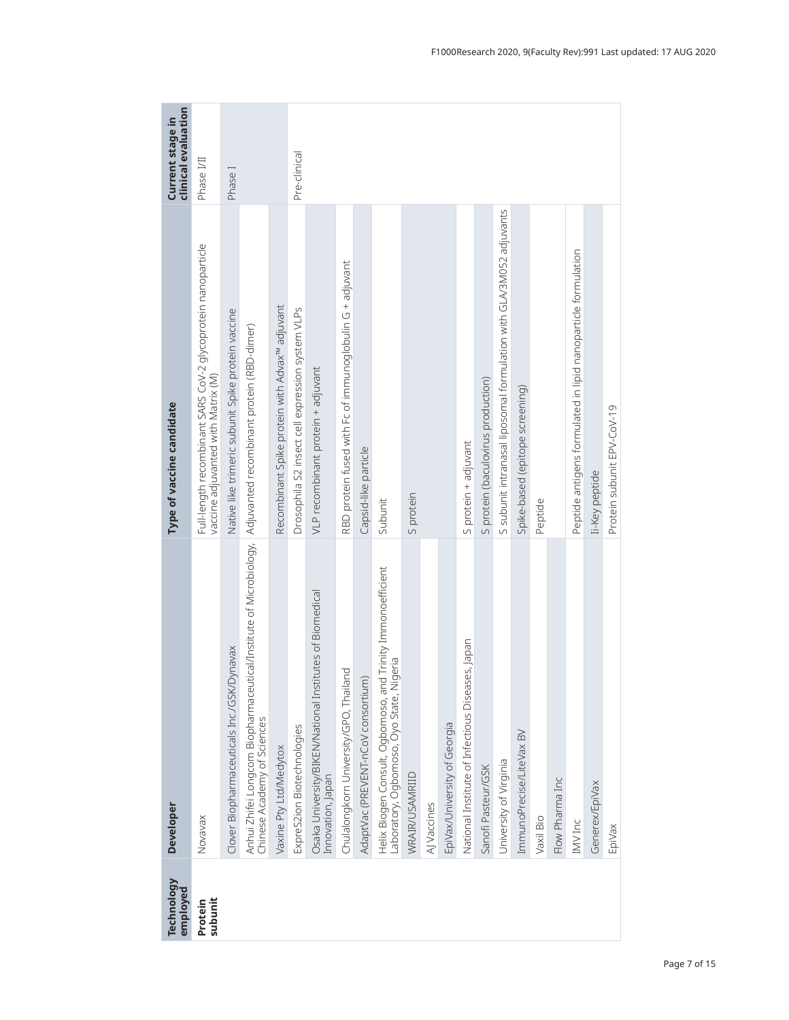| Technology<br>employed | <b>Developer</b>                                                                                                                             | Type of vaccine candidate                                                                          | clinical evaluation<br>Current stage in |
|------------------------|----------------------------------------------------------------------------------------------------------------------------------------------|----------------------------------------------------------------------------------------------------|-----------------------------------------|
| subunit<br>Protein     | Novavax                                                                                                                                      | Full-length recombinant SARS CoV-2 glycoprotein nanoparticle<br>vaccine adjuvanted with Matrix (M) | Phase I/II                              |
|                        | Clover Biopharmaceuticals Inc./GSK/Dynavax                                                                                                   | Native like trimeric subunit Spike protein vaccine                                                 | Phase <sub>I</sub>                      |
|                        | Anhui Zhifei Longcom Biopharmaceutical/Institute of Microbiology,  Adjuvanted recombinant protein (RBD-dimer)<br>Chinese Academy of Sciences |                                                                                                    |                                         |
|                        | Vaxine Pty Ltd/Medytox                                                                                                                       | Recombinant Spike protein with Advax <sup>w</sup> adjuvant                                         |                                         |
|                        | ExpreS2ion Biotechnologies                                                                                                                   | Drosophila S2 insect cell expression system VLPs                                                   | Pre-clinical                            |
|                        | Osaka University/BIKEN/National Institutes of Biomedical<br>Innovation, Japan                                                                | VLP recombinant protein + adjuvant                                                                 |                                         |
|                        | Chulalongkorn University/GPO, Thailand                                                                                                       | RBD protein fused with Fc of immunoglobulin G + adjuvant                                           |                                         |
|                        | AdaptVac (PREVENT-nCoV consortium)                                                                                                           | Capsid-like particle                                                                               |                                         |
|                        | Helix Biogen Consult, Ogbomoso, and Trinity Immonoefficient<br>Laboratory, Ogbomoso, Oyo State, Nigeria                                      | Subunit                                                                                            |                                         |
|                        | WRAIR/USAMRIID                                                                                                                               | S protein                                                                                          |                                         |
|                        | AJ Vaccines                                                                                                                                  |                                                                                                    |                                         |
|                        | EpiVax/University of Georgia                                                                                                                 |                                                                                                    |                                         |
|                        | National Institute of Infectious Diseases, Japan                                                                                             | S protein + adjuvant                                                                               |                                         |
|                        | Sanofi Pasteur/GSK                                                                                                                           | S protein (baculovirus production)                                                                 |                                         |
|                        | University of Virginia                                                                                                                       | S subunit intranasal liposomal formulation with GLA/3M052 adjuvants                                |                                         |
|                        | ImmunoPrecise/LiteVax BV                                                                                                                     | Spike-based (epitope screening)                                                                    |                                         |
|                        | Vaxil Bio                                                                                                                                    | Peptide                                                                                            |                                         |
|                        | Flow Pharma Inc                                                                                                                              |                                                                                                    |                                         |
|                        | IMV Inc                                                                                                                                      | Peptide antigens formulated in lipid nanoparticle formulation                                      |                                         |
|                        | Generex/EpiVax                                                                                                                               | Ii-Key peptide                                                                                     |                                         |
|                        | EpiVax                                                                                                                                       | Protein subunit EPV-CoV-19                                                                         |                                         |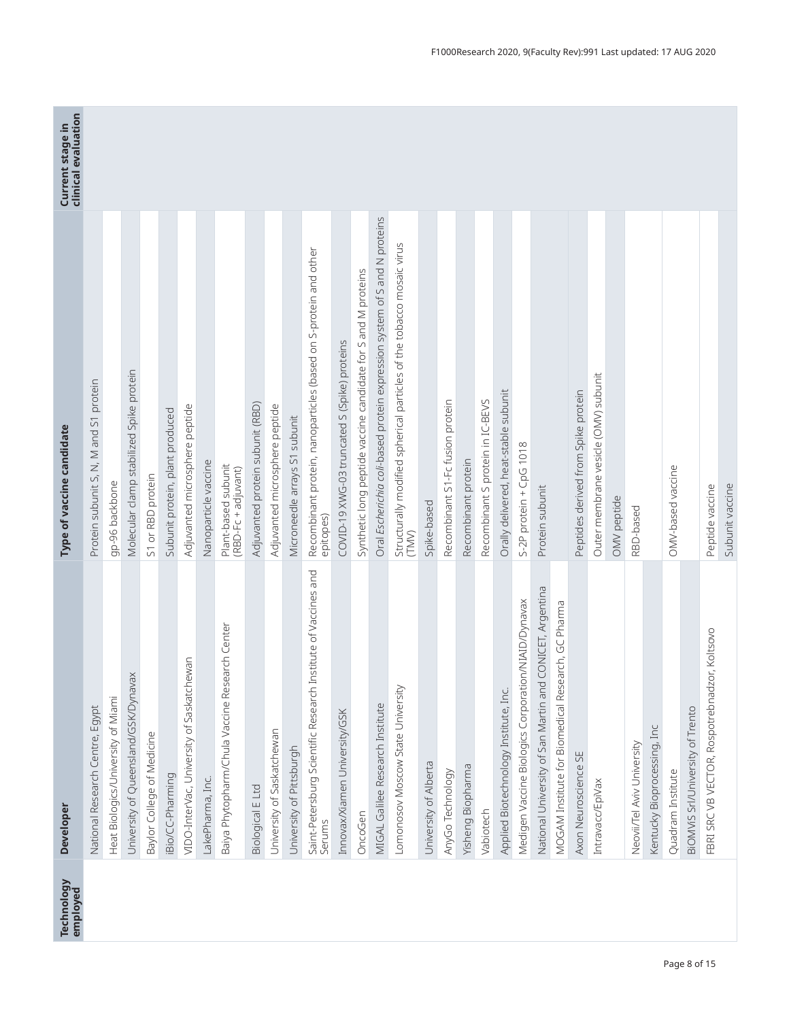| <b>Technology</b><br>employed | <b>Developer</b>                                                         | Type of vaccine candidate                                                      | clinical evaluation<br>Current stage in |
|-------------------------------|--------------------------------------------------------------------------|--------------------------------------------------------------------------------|-----------------------------------------|
|                               | National Research Centre, Egypt                                          | Protein subunit S, N, M and S1 protein                                         |                                         |
|                               | Heat Biologics/University of Miami                                       | gp-96 backbone                                                                 |                                         |
|                               | University of Queensland/GSK/Dynavax                                     | Molecular clamp stabilized Spike protein                                       |                                         |
|                               | Baylor College of Medicine                                               | S1 or RBD protein                                                              |                                         |
|                               | iBio/CC-Pharming                                                         | Subunit protein, plant produced                                                |                                         |
|                               | VIDO-InterVac, University of Saskatchewan                                | Adjuvanted microsphere peptide                                                 |                                         |
|                               | LakePharma, Inc.                                                         | Nanoparticle vaccine                                                           |                                         |
|                               | Baiya Phytopharm/Chula Vaccine Research Center                           | Plant-based subunit<br>(RBD-Fc + adjuvant)                                     |                                         |
|                               | <b>Biological E Ltd</b>                                                  | Adjuvanted protein subunit (RBD)                                               |                                         |
|                               | University of Saskatchewan                                               | Adjuvanted microsphere peptide                                                 |                                         |
|                               | University of Pittsburgh                                                 | Microneedle arrays S1 subunit                                                  |                                         |
|                               | Saint-Petersburg Scientific Research Institute of Vaccines and<br>Serums | Recombinant protein, nanoparticles (based on S-protein and other<br>epitopes)  |                                         |
|                               | Innovax/Xiamen University/GSK                                            | COVID-19 XWG-03 truncated S (Spike) proteins                                   |                                         |
|                               | OncoGen                                                                  | Synthetic long peptide vaccine candidate for S and M proteins                  |                                         |
|                               | MIGAL Galilee Research Institute                                         | Oral Escherichia coli-based protein expression system of S and N proteins      |                                         |
|                               | Lomonosov Moscow State University                                        | Structurally modified spherical particles of the tobacco mosaic virus<br>(TMN) |                                         |
|                               | University of Alberta                                                    | Spike-based                                                                    |                                         |
|                               | AnyGo Technology                                                         | Recombinant S1-Fc fusion protein                                               |                                         |
|                               | Yisheng Biopharma                                                        | Recombinant protein                                                            |                                         |
|                               | Vabiotech                                                                | Recombinant S protein in IC-BEVS                                               |                                         |
|                               | Applied Biotechnology Institute, Inc.                                    | Orally delivered, heat-stable subunit                                          |                                         |
|                               | Medigen Vaccine Biologics Corporation/NIAID/Dynavax                      | S-2P protein + CpG 1018                                                        |                                         |
|                               | CONICET, Argentina<br>National University of San Martin and              | Protein subunit                                                                |                                         |
|                               | MOGAM Institute for Biomedical Research, GC Pharma                       |                                                                                |                                         |
|                               | Axon Neuroscience SE                                                     | Peptides derived from Spike protein                                            |                                         |
|                               | Intravacc/EpiVax                                                         | Outer membrane vesicle (OMV) subunit                                           |                                         |
|                               |                                                                          | OMV peptide                                                                    |                                         |
|                               | Neovii/Tel Aviv University                                               | RBD-based                                                                      |                                         |
|                               | Kentucky Bioprocessing, Inc                                              |                                                                                |                                         |
|                               | Quadram Institute                                                        | OMV-based vaccine                                                              |                                         |
|                               | BIOMVIS Srl/University of Trento                                         |                                                                                |                                         |
|                               | FBRI SRC VB VECTOR, Rospotrebnadzor, Koltsovo                            | Peptide vaccine                                                                |                                         |
|                               |                                                                          | Subunit vaccine                                                                |                                         |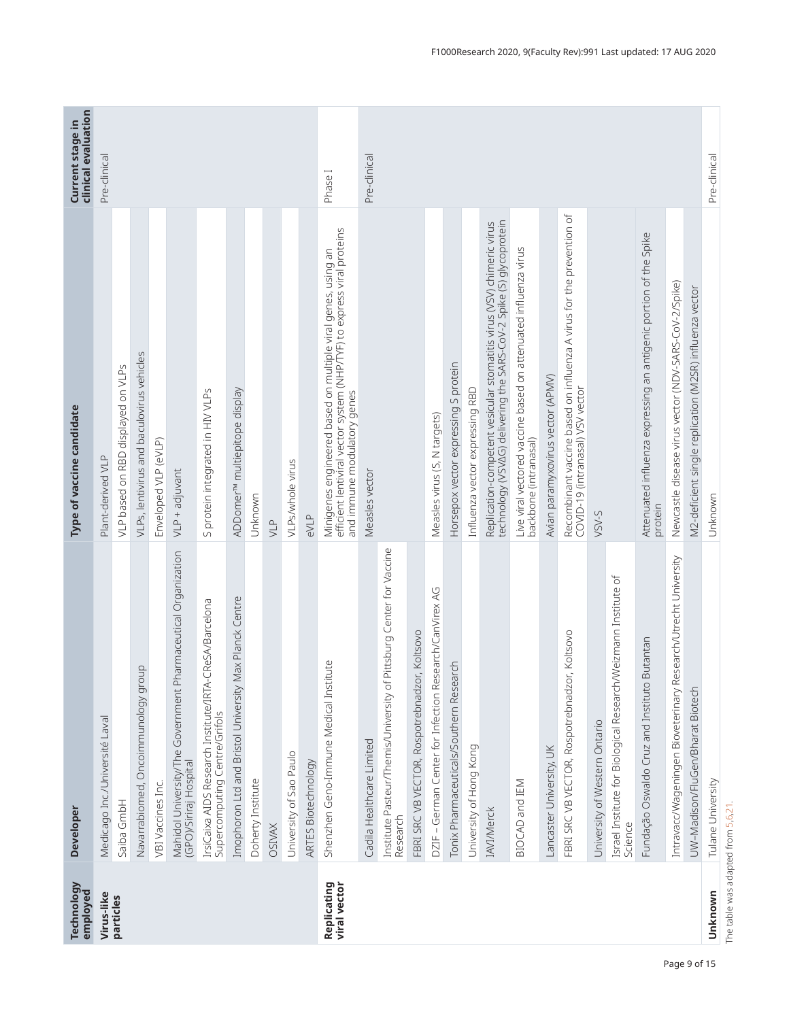| Technology                         | Developer                                                                                   | Type of vaccine candidate                                                                                                                                             | <b>clinical evaluation</b><br>Current stage in |
|------------------------------------|---------------------------------------------------------------------------------------------|-----------------------------------------------------------------------------------------------------------------------------------------------------------------------|------------------------------------------------|
| employed<br>Virus-like             | Medicago Inc./Université Laval                                                              | Plant-derived VLP                                                                                                                                                     | Pre-clinical                                   |
| particles                          |                                                                                             |                                                                                                                                                                       |                                                |
|                                    | Saiba GmbH                                                                                  | VLP based on RBD displayed on VLPs                                                                                                                                    |                                                |
|                                    | Navarrabiomed, Oncoimmunology group                                                         | VLPs, lentivirus and baculovirus vehicles                                                                                                                             |                                                |
|                                    | VBI Vaccines Inc.                                                                           | Enveloped VLP (eVLP)                                                                                                                                                  |                                                |
|                                    | Mahidol University/The Government Pharmaceutical Organization<br>(GPO)/Siriraj Hospital     | VLP + adjuvant                                                                                                                                                        |                                                |
|                                    | CReSA/Barcelona<br>IrsiCaixa AIDS Research Institute/IRTA-<br>Supercomputing Centre/Grifols | S protein integrated in HIV VLPs                                                                                                                                      |                                                |
|                                    | Imophoron Ltd and Bristol University Max Planck Centre                                      | ADDomer <sup>TM</sup> multiepitope display                                                                                                                            |                                                |
|                                    | Doherty Institute                                                                           | Unknown                                                                                                                                                               |                                                |
|                                    | <b>OSIVAX</b>                                                                               | $\sum_{i=1}^{n}$                                                                                                                                                      |                                                |
|                                    | University of Sao Paulo                                                                     | VLPs/whole virus                                                                                                                                                      |                                                |
|                                    | ARTES Biotechnology                                                                         | eVLP                                                                                                                                                                  |                                                |
| <b>Replicating</b><br>viral vector | Shenzhen Geno-Immune Medical Institute                                                      | Minigenes engineered based on multiple viral genes, using an<br>efficient lentiviral vector system (NHP/TYF) to express viral proteins<br>and immune modulatory genes | Phase <sub>I</sub>                             |
|                                    | Cadila Healthcare Limited                                                                   | Measles vector                                                                                                                                                        | Pre-clinical                                   |
|                                    | Pittsburg Center for Vaccine<br>Institute Pasteur/Themis/University of<br>Research          |                                                                                                                                                                       |                                                |
|                                    | FBRI SRC VB VECTOR, Rospotrebnadzor, Koltsovo                                               |                                                                                                                                                                       |                                                |
|                                    | DZIF - German Center for Infection Research/CanVirex AG                                     | Measles virus (S, N targets)                                                                                                                                          |                                                |
|                                    | Tonix Pharmaceuticals/Southern Research                                                     | Horsepox vector expressing S protein                                                                                                                                  |                                                |
|                                    | University of Hong Kong                                                                     | Influenza vector expressing RBD                                                                                                                                       |                                                |
|                                    | <b>IAVI/Merck</b>                                                                           | technology (VSVAG) delivering the SARS-CoV-2 Spike (S) glycoprotein<br>Replication-competent vesicular stomatitis virus (VSV) chimeric virus                          |                                                |
|                                    | BIOCAD and IEM                                                                              | Live viral vectored vaccine based on attenuated influenza virus<br>backbone (intranasal)                                                                              |                                                |
|                                    | Lancaster University, UK                                                                    | Avian paramyxovirus vector (APMV)                                                                                                                                     |                                                |
|                                    | FBRI SRC VB VECTOR, Rospotrebnadzor, Koltsovo                                               | Recombinant vaccine based on influenza A virus for the prevention of<br>COVID-19 (intranasal) VSV vector                                                              |                                                |
|                                    | University of Western Ontario                                                               | VSV-S                                                                                                                                                                 |                                                |
|                                    | Israel Institute for Biological Research/Weizmann Institute of<br>Science                   |                                                                                                                                                                       |                                                |
|                                    | Butantan<br>Fundação Oswaldo Cruz and Instituto I                                           | Attenuated influenza expressing an antigenic portion of the Spike<br>protein                                                                                          |                                                |
|                                    | Intravacc/Wageningen Bioveterinary Research/Utrecht University                              | Newcastle disease virus vector (NDV-SARS-CoV-2/Spike)                                                                                                                 |                                                |
|                                    | UW-Madison/FluGen/Bharat Biotech                                                            | M2-deficient single replication (M2SR) influenza vector                                                                                                               |                                                |
| Unknown                            | Tulane University                                                                           | Unknown                                                                                                                                                               | Pre-clinical                                   |

The table was adapted from 5,6,21. The table was adapted from 5,6,21.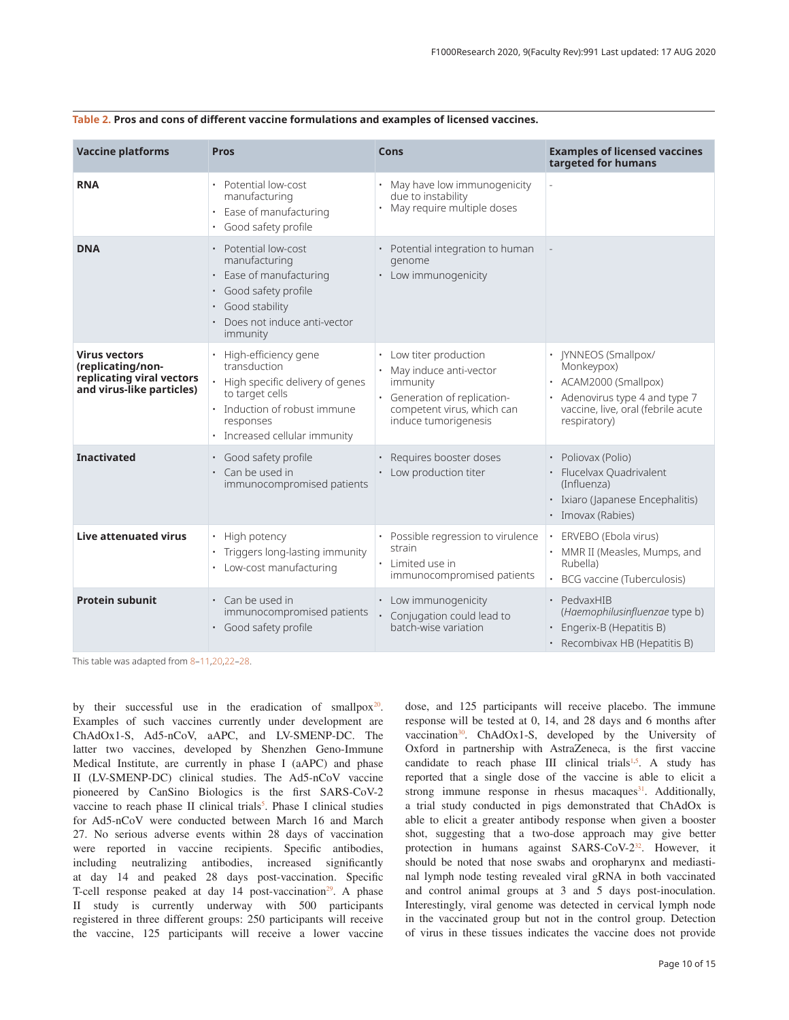| <b>Vaccine platforms</b>                                                                            | <b>Pros</b>                                                                                                                                                                                    | Cons                                                                                                                                               | <b>Examples of licensed vaccines</b><br>targeted for humans                                                                                          |
|-----------------------------------------------------------------------------------------------------|------------------------------------------------------------------------------------------------------------------------------------------------------------------------------------------------|----------------------------------------------------------------------------------------------------------------------------------------------------|------------------------------------------------------------------------------------------------------------------------------------------------------|
| <b>RNA</b>                                                                                          | Potential low-cost<br>$\bullet$<br>manufacturing<br>Ease of manufacturing<br>$\bullet$<br>Good safety profile                                                                                  | May have low immunogenicity<br>due to instability<br>May require multiple doses                                                                    |                                                                                                                                                      |
| <b>DNA</b>                                                                                          | • Potential low-cost<br>manufacturing<br>Ease of manufacturing<br>$\bullet$<br>Good safety profile<br>$\bullet$<br>Good stability<br>٠<br>Does not induce anti-vector<br>$\bullet$<br>immunity | • Potential integration to human<br>genome<br>• Low immunogenicity                                                                                 |                                                                                                                                                      |
| <b>Virus vectors</b><br>(replicating/non-<br>replicating viral vectors<br>and virus-like particles) | High-efficiency gene<br>transduction<br>High specific delivery of genes<br>to target cells<br>Induction of robust immune<br>responses<br>· Increased cellular immunity                         | • Low titer production<br>May induce anti-vector<br>immunity<br>· Generation of replication-<br>competent virus, which can<br>induce tumorigenesis | <b>JYNNEOS (Smallpox/</b><br>Monkeypox)<br>ACAM2000 (Smallpox)<br>Adenovirus type 4 and type 7<br>vaccine, live, oral (febrile acute<br>respiratory) |
| <b>Inactivated</b>                                                                                  | · Good safety profile<br>Can be used in<br>$\bullet$<br>immunocompromised patients                                                                                                             | · Requires booster doses<br>• Low production titer                                                                                                 | · Poliovax (Polio)<br>· Flucelvax Quadrivalent<br>(Influenza)<br>· Ixiaro (Japanese Encephalitis)<br>· Imovax (Rabies)                               |
| Live attenuated virus                                                                               | High potency<br>$\bullet$<br>Triggers long-lasting immunity<br>Low-cost manufacturing<br>٠                                                                                                     | Possible regression to virulence<br>strain<br>· Limited use in<br>immunocompromised patients                                                       | ERVEBO (Ebola virus)<br>MMR II (Measles, Mumps, and<br>Rubella)<br>BCG vaccine (Tuberculosis)                                                        |
| <b>Protein subunit</b>                                                                              | • Can be used in<br>immunocompromised patients<br>· Good safety profile                                                                                                                        | • Low immunogenicity<br>• Conjugation could lead to<br>batch-wise variation                                                                        | · PedvaxHIB<br>(Haemophilusinfluenzae type b)<br>Engerix-B (Hepatitis B)<br>· Recombivax HB (Hepatitis B)                                            |

This table was adapted from 8–11,20,22–28.

by their successful use in the eradication of smallpox $20$ . Examples of such vaccines currently under development are ChAdOx1-S, Ad5-nCoV, aAPC, and LV-SMENP-DC. The latter two vaccines, developed by Shenzhen Geno-Immune Medical Institute, are currently in phase I (aAPC) and phase II (LV-SMENP-DC) clinical studies. The Ad5-nCoV vaccine pioneered by CanSino Biologics is the first SARS-CoV-2 vaccine to reach phase II clinical trials<sup>5</sup>. Phase I clinical studies for Ad5-nCoV were conducted between March 16 and March 27. No serious adverse events within 28 days of vaccination were reported in vaccine recipients. Specific antibodies, including neutralizing antibodies, increased significantly at day 14 and peaked 28 days post-vaccination. Specific T-cell response peaked at day  $14$  post-vaccination<sup>29</sup>. A phase II study is currently underway with 500 participants registered in three different groups: 250 participants will receive the vaccine, 125 participants will receive a lower vaccine

dose, and 125 participants will receive placebo. The immune response will be tested at 0, 14, and 28 days and 6 months after vaccination<sup>30</sup>. ChAdOx1-S, developed by the University of Oxford in partnership with AstraZeneca, is the first vaccine candidate to reach phase III clinical trials<sup>1,5</sup>. A study has reported that a single dose of the vaccine is able to elicit a strong immune response in rhesus macaques $31$ . Additionally, a trial study conducted in pigs demonstrated that ChAdOx is able to elicit a greater antibody response when given a booster shot, suggesting that a two-dose approach may give better protection in humans against SARS-CoV-2<sup>32</sup>. However, it should be noted that nose swabs and oropharynx and mediastinal lymph node testing revealed viral gRNA in both vaccinated and control animal groups at 3 and 5 days post-inoculation. Interestingly, viral genome was detected in cervical lymph node in the vaccinated group but not in the control group. Detection of virus in these tissues indicates the vaccine does not provide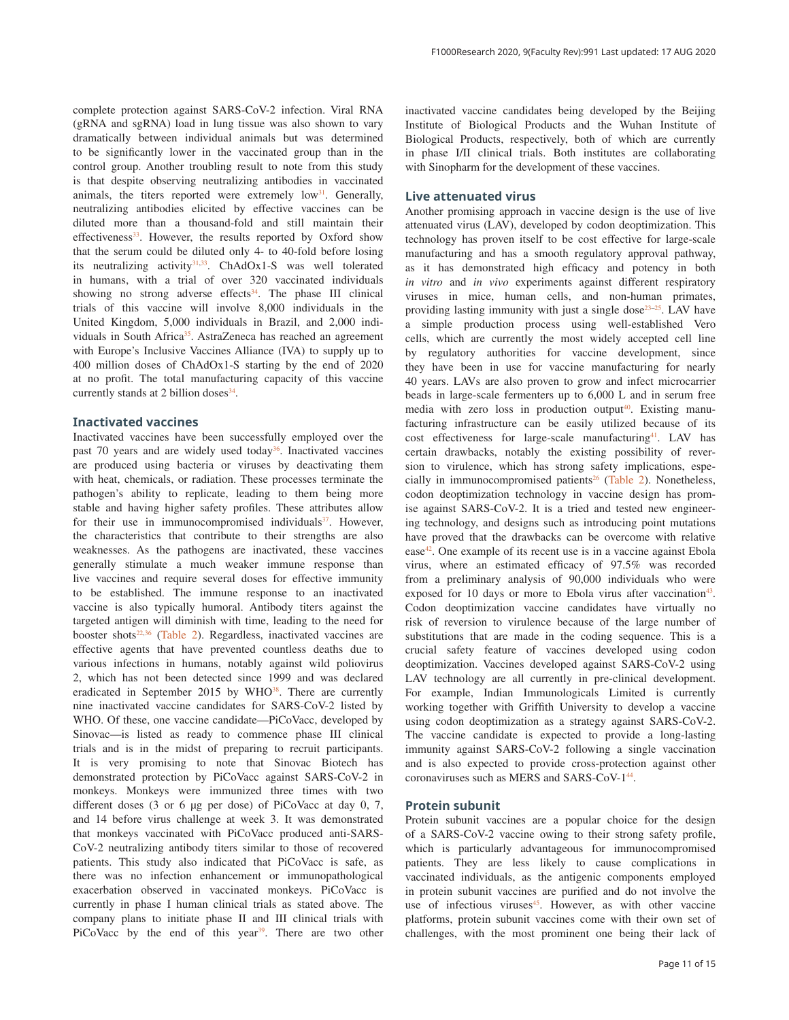complete protection against SARS-CoV-2 infection. Viral RNA (gRNA and sgRNA) load in lung tissue was also shown to vary dramatically between individual animals but was determined to be significantly lower in the vaccinated group than in the control group. Another troubling result to note from this study is that despite observing neutralizing antibodies in vaccinated animals, the titers reported were extremely  $low<sup>31</sup>$ . Generally, neutralizing antibodies elicited by effective vaccines can be diluted more than a thousand-fold and still maintain their effectiveness<sup>33</sup>. However, the results reported by Oxford show that the serum could be diluted only 4- to 40-fold before losing its neutralizing activity $31,33$ . ChAdOx1-S was well tolerated in humans, with a trial of over 320 vaccinated individuals showing no strong adverse effects $34$ . The phase III clinical trials of this vaccine will involve 8,000 individuals in the United Kingdom, 5,000 individuals in Brazil, and 2,000 individuals in South Africa<sup>35</sup>. AstraZeneca has reached an agreement with Europe's Inclusive Vaccines Alliance (IVA) to supply up to 400 million doses of ChAdOx1-S starting by the end of 2020 at no profit. The total manufacturing capacity of this vaccine currently stands at 2 billion doses $34$ .

#### **Inactivated vaccines**

Inactivated vaccines have been successfully employed over the past 70 years and are widely used today<sup>36</sup>. Inactivated vaccines are produced using bacteria or viruses by deactivating them with heat, chemicals, or radiation. These processes terminate the pathogen's ability to replicate, leading to them being more stable and having higher safety profiles. These attributes allow for their use in immunocompromised individuals<sup>37</sup>. However, the characteristics that contribute to their strengths are also weaknesses. As the pathogens are inactivated, these vaccines generally stimulate a much weaker immune response than live vaccines and require several doses for effective immunity to be established. The immune response to an inactivated vaccine is also typically humoral. Antibody titers against the targeted antigen will diminish with time, leading to the need for booster shots $22,36$  (Table 2). Regardless, inactivated vaccines are effective agents that have prevented countless deaths due to various infections in humans, notably against wild poliovirus 2, which has not been detected since 1999 and was declared eradicated in September 2015 by WHO<sup>38</sup>. There are currently nine inactivated vaccine candidates for SARS-CoV-2 listed by WHO. Of these, one vaccine candidate—PiCoVacc, developed by Sinovac—is listed as ready to commence phase III clinical trials and is in the midst of preparing to recruit participants. It is very promising to note that Sinovac Biotech has demonstrated protection by PiCoVacc against SARS-CoV-2 in monkeys. Monkeys were immunized three times with two different doses (3 or 6 µg per dose) of PiCoVacc at day 0, 7, and 14 before virus challenge at week 3. It was demonstrated that monkeys vaccinated with PiCoVacc produced anti-SARS-CoV-2 neutralizing antibody titers similar to those of recovered patients. This study also indicated that PiCoVacc is safe, as there was no infection enhancement or immunopathological exacerbation observed in vaccinated monkeys. PiCoVacc is currently in phase I human clinical trials as stated above. The company plans to initiate phase II and III clinical trials with PiCoVacc by the end of this year<sup>39</sup>. There are two other

inactivated vaccine candidates being developed by the Beijing Institute of Biological Products and the Wuhan Institute of Biological Products, respectively, both of which are currently in phase I/II clinical trials. Both institutes are collaborating with Sinopharm for the development of these vaccines.

#### **Live attenuated virus**

Another promising approach in vaccine design is the use of live attenuated virus (LAV), developed by codon deoptimization. This technology has proven itself to be cost effective for large-scale manufacturing and has a smooth regulatory approval pathway, as it has demonstrated high efficacy and potency in both *in vitro* and *in vivo* experiments against different respiratory viruses in mice, human cells, and non-human primates, providing lasting immunity with just a single dose $23-25$ . LAV have a simple production process using well-established Vero cells, which are currently the most widely accepted cell line by regulatory authorities for vaccine development, since they have been in use for vaccine manufacturing for nearly 40 years. LAVs are also proven to grow and infect microcarrier beads in large-scale fermenters up to 6,000 L and in serum free media with zero loss in production output<sup>40</sup>. Existing manufacturing infrastructure can be easily utilized because of its cost effectiveness for large-scale manufacturing<sup>41</sup>. LAV has certain drawbacks, notably the existing possibility of reversion to virulence, which has strong safety implications, especially in immunocompromised patients<sup>26</sup> (Table 2). Nonetheless, codon deoptimization technology in vaccine design has promise against SARS-CoV-2. It is a tried and tested new engineering technology, and designs such as introducing point mutations have proved that the drawbacks can be overcome with relative ease $42$ . One example of its recent use is in a vaccine against Ebola virus, where an estimated efficacy of 97.5% was recorded from a preliminary analysis of 90,000 individuals who were exposed for 10 days or more to Ebola virus after vaccination<sup>43</sup>. Codon deoptimization vaccine candidates have virtually no risk of reversion to virulence because of the large number of substitutions that are made in the coding sequence. This is a crucial safety feature of vaccines developed using codon deoptimization. Vaccines developed against SARS-CoV-2 using LAV technology are all currently in pre-clinical development. For example, Indian Immunologicals Limited is currently working together with Griffith University to develop a vaccine using codon deoptimization as a strategy against SARS-CoV-2. The vaccine candidate is expected to provide a long-lasting immunity against SARS-CoV-2 following a single vaccination and is also expected to provide cross-protection against other coronaviruses such as MERS and SARS-CoV-1<sup>44</sup>.

#### **Protein subunit**

Protein subunit vaccines are a popular choice for the design of a SARS-CoV-2 vaccine owing to their strong safety profile, which is particularly advantageous for immunocompromised patients. They are less likely to cause complications in vaccinated individuals, as the antigenic components employed in protein subunit vaccines are purified and do not involve the use of infectious viruses<sup>45</sup>. However, as with other vaccine platforms, protein subunit vaccines come with their own set of challenges, with the most prominent one being their lack of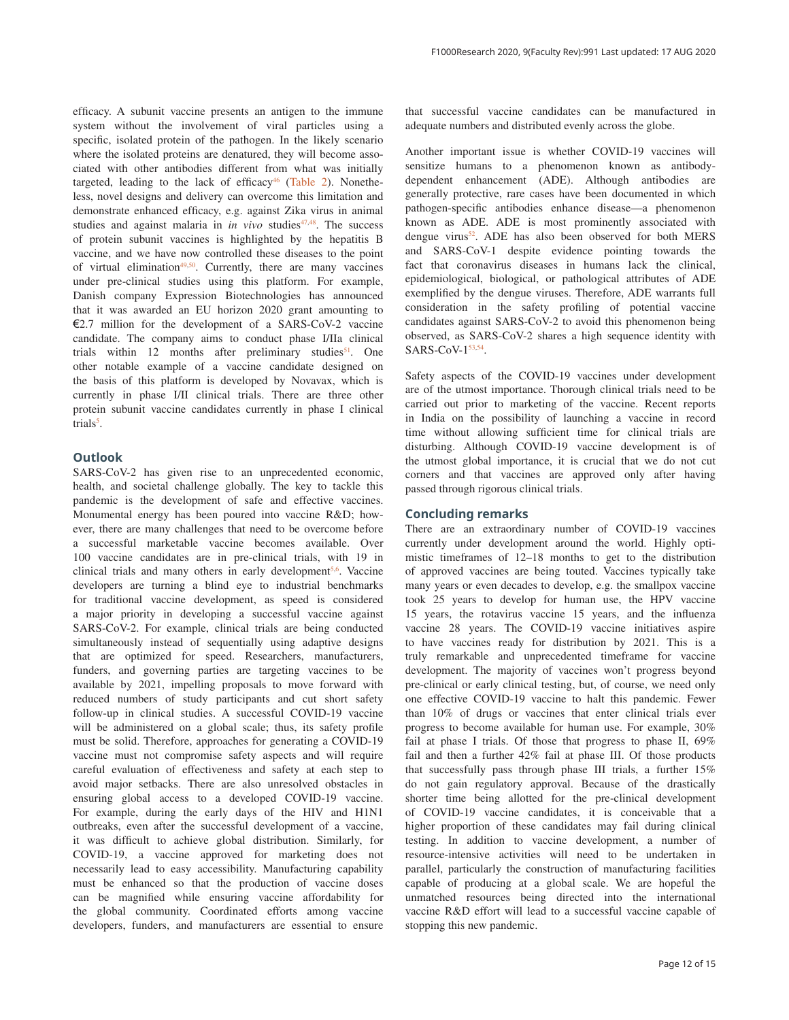efficacy. A subunit vaccine presents an antigen to the immune system without the involvement of viral particles using a specific, isolated protein of the pathogen. In the likely scenario where the isolated proteins are denatured, they will become associated with other antibodies different from what was initially targeted, leading to the lack of efficacy $46$  (Table 2). Nonetheless, novel designs and delivery can overcome this limitation and demonstrate enhanced efficacy, e.g. against Zika virus in animal studies and against malaria in *in vivo* studies<sup>47,48</sup>. The success of protein subunit vaccines is highlighted by the hepatitis B vaccine, and we have now controlled these diseases to the point of virtual elimination<sup>49,50</sup>. Currently, there are many vaccines under pre-clinical studies using this platform. For example, Danish company Expression Biotechnologies has announced that it was awarded an EU horizon 2020 grant amounting to €2.7 million for the development of a SARS-CoV-2 vaccine candidate. The company aims to conduct phase I/IIa clinical trials within  $12$  months after preliminary studies<sup>51</sup>. One other notable example of a vaccine candidate designed on the basis of this platform is developed by Novavax, which is currently in phase I/II clinical trials. There are three other protein subunit vaccine candidates currently in phase I clinical trials<sup>5</sup>.

#### **Outlook**

SARS-CoV-2 has given rise to an unprecedented economic, health, and societal challenge globally. The key to tackle this pandemic is the development of safe and effective vaccines. Monumental energy has been poured into vaccine R&D; however, there are many challenges that need to be overcome before a successful marketable vaccine becomes available. Over 100 vaccine candidates are in pre-clinical trials, with 19 in clinical trials and many others in early development<sup>5,6</sup>. Vaccine developers are turning a blind eye to industrial benchmarks for traditional vaccine development, as speed is considered a major priority in developing a successful vaccine against SARS-CoV-2. For example, clinical trials are being conducted simultaneously instead of sequentially using adaptive designs that are optimized for speed. Researchers, manufacturers, funders, and governing parties are targeting vaccines to be available by 2021, impelling proposals to move forward with reduced numbers of study participants and cut short safety follow-up in clinical studies. A successful COVID-19 vaccine will be administered on a global scale; thus, its safety profile must be solid. Therefore, approaches for generating a COVID-19 vaccine must not compromise safety aspects and will require careful evaluation of effectiveness and safety at each step to avoid major setbacks. There are also unresolved obstacles in ensuring global access to a developed COVID-19 vaccine. For example, during the early days of the HIV and H1N1 outbreaks, even after the successful development of a vaccine, it was difficult to achieve global distribution. Similarly, for COVID-19, a vaccine approved for marketing does not necessarily lead to easy accessibility. Manufacturing capability must be enhanced so that the production of vaccine doses can be magnified while ensuring vaccine affordability for the global community. Coordinated efforts among vaccine developers, funders, and manufacturers are essential to ensure

that successful vaccine candidates can be manufactured in adequate numbers and distributed evenly across the globe.

Another important issue is whether COVID-19 vaccines will sensitize humans to a phenomenon known as antibodydependent enhancement (ADE). Although antibodies are generally protective, rare cases have been documented in which pathogen-specific antibodies enhance disease—a phenomenon known as ADE. ADE is most prominently associated with dengue virus<sup>52</sup>. ADE has also been observed for both MERS and SARS-CoV-1 despite evidence pointing towards the fact that coronavirus diseases in humans lack the clinical, epidemiological, biological, or pathological attributes of ADE exemplified by the dengue viruses. Therefore, ADE warrants full consideration in the safety profiling of potential vaccine candidates against SARS-CoV-2 to avoid this phenomenon being observed, as SARS-CoV-2 shares a high sequence identity with SARS-CoV-153,54.

Safety aspects of the COVID-19 vaccines under development are of the utmost importance. Thorough clinical trials need to be carried out prior to marketing of the vaccine. Recent reports in India on the possibility of launching a vaccine in record time without allowing sufficient time for clinical trials are disturbing. Although COVID-19 vaccine development is of the utmost global importance, it is crucial that we do not cut corners and that vaccines are approved only after having passed through rigorous clinical trials.

#### **Concluding remarks**

There are an extraordinary number of COVID-19 vaccines currently under development around the world. Highly optimistic timeframes of 12–18 months to get to the distribution of approved vaccines are being touted. Vaccines typically take many years or even decades to develop, e.g. the smallpox vaccine took 25 years to develop for human use, the HPV vaccine 15 years, the rotavirus vaccine 15 years, and the influenza vaccine 28 years. The COVID-19 vaccine initiatives aspire to have vaccines ready for distribution by 2021. This is a truly remarkable and unprecedented timeframe for vaccine development. The majority of vaccines won't progress beyond pre-clinical or early clinical testing, but, of course, we need only one effective COVID-19 vaccine to halt this pandemic. Fewer than 10% of drugs or vaccines that enter clinical trials ever progress to become available for human use. For example, 30% fail at phase I trials. Of those that progress to phase II, 69% fail and then a further 42% fail at phase III. Of those products that successfully pass through phase III trials, a further 15% do not gain regulatory approval. Because of the drastically shorter time being allotted for the pre-clinical development of COVID-19 vaccine candidates, it is conceivable that a higher proportion of these candidates may fail during clinical testing. In addition to vaccine development, a number of resource-intensive activities will need to be undertaken in parallel, particularly the construction of manufacturing facilities capable of producing at a global scale. We are hopeful the unmatched resources being directed into the international vaccine R&D effort will lead to a successful vaccine capable of stopping this new pandemic.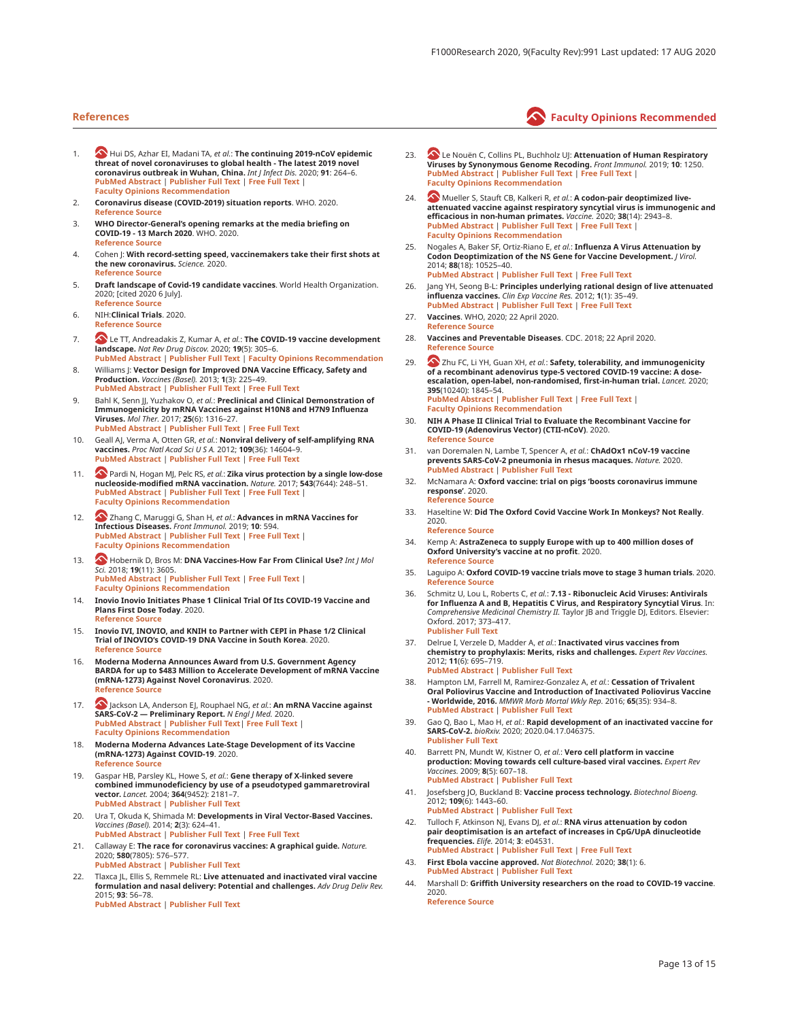- 1. **A** Hui DS, Azhar EI, Madani TA, *et al.*: **The continuing 2019-nCoV epidemic threat of novel coronaviruses to global health - The latest 2019 novel coronavirus outbreak in Wuhan, China.** *Int J Infect Dis.* 2020; **91**: 264–6. **PubMed Abstract** | **Publisher Full Text** | **Free Full Text** | **Faculty Opinions Recommendation**
- 2. **Coronavirus disease (COVID-2019) situation reports**. WHO. 2020. **Reference Source**
- 3. **WHO Director-General's opening remarks at the media briefing on COVID-19 - 13 March 2020**. WHO. 2020. **Reference Source**
- 4. Cohen J: With record-setting speed, vaccinemakers take their first shots at **the new coronavirus.** *Science.* 2020. **Reference Source**
- 5. **Draft landscape of Covid-19 candidate vaccines**. World Health Organization. 2020; [cited 2020 6 July]. **Reference Source**
- 6. NIH:**Clinical Trials**. 2020.
- **Reference Source**
- 7. **S** Le TT, Andreadakis Z, Kumar A, *et al.*: **The COVID-19 vaccine development landscape.** *Nat Rev Drug Discov.* 2020; **19**(5): 305–6.<br><mark>PubMed Abstract | Publisher Full Text | Faculty Opinions Recommendation <sub>\_</sub></mark>
- 8. Williams J: Vector Design for Improved DNA Vaccine Efficacy, Safety and **Production.** *Vaccines (Basel).* 2013; **1**(3): 225–49. **PubMed Abstract** | **Publisher Full Text** | **Free Full Text**
- 9. Bahl K, Senn JJ, Yuzhakov O, et al.: Preclinical and Clinical Demonstration of Immunogenicity by mRNA Vaccines against H10N8 and H7N9 Influenza<br>Viruses. *Mol Ther*. 2017; 25(6): 1316–27.<br><mark>PubMed Abstract | Publisher Full Text | Free Full Text</mark>
- 10. Geall AJ, Verma A, Otten GR, *et al.*: **Nonviral delivery of self-amplifying RNA**<br>**vaccines.** *Proc Natl Acad Sci U S A***. 2012; 109(36): 14604–9.<br><mark>PubMed Abstract | Publisher Full Text | Free Full Text</mark>**
- 11. **W** Pardi N, Hogan MJ, Pelc RS, *et al.*: **Zika virus protection by a single low-dose**<br>**nucleoside-modified mRNA vaccination**. *Nature*. 2017; **54**3(7644): 248–51.<br>**PubMed Abstract | Publisher Full Text | Free Full Tex Faculty Opinions Recommendation**
- 12. **A** Zhang C, Maruggi G, Shan H, *et al.*: **Advances in mRNA Vaccines for Infectious Diseases.** *Front Immunol.* 2019; **10**: 594. **PubMed Abstract** | **Publisher Full Text** | **Free Full Text** | **Faculty Opinions Recommendation**
- 13.  **Hobernik D, Bros M: DNA Vaccines-How Far From Clinical Use?** *Int J Mol Sci.* 2018; **19**(11): 3605. **PubMed Abstract** | **Publisher Full Text** | **Free Full Text** | **Faculty Opinions Recommendation**
- 14. **Inovio Inovio Initiates Phase 1 Clinical Trial Of Its COVID-19 Vaccine and Plans First Dose Today**. 2020. **Reference Source**
- 15. **Inovio IVI, INOVIO, and KNIH to Partner with CEPI in Phase 1/2 Clinical Trial of INOVIO's COVID-19 DNA Vaccine in South Korea**. 2020. **Reference Source**
- 16. **Moderna Moderna Announces Award from U.S. Government Agency BARDA for up to \$483 Million to Accelerate Development of mRNA Vaccine (mRNA-1273) Against Novel Coronavirus**. 2020. **Reference Source**
- 17. **A** Jackson LA, Anderson EJ, Rouphael NG, *et al.*: **An mRNA Vaccine against SARS-CoV-2 — Preliminary Report.** *N Engl J Med.* 2020. **PubMed Abstract** | **Publisher Full Text**| **Free Full Text** | **Faculty Opinions Recommendation**
- 18. **Moderna Moderna Advances Late-Stage Development of its Vaccine (mRNA-1273) Against COVID-19**. 2020. **Reference Source**
- 19. Gaspar HB, Parsley KL, Howe S, et al.: Gene therapy of X-linked severe combined immunodeficiency by use of a pseudotyped gammaretroviral<br>vector. *Lancet.* 2004; 364(9452): 2181–7.<br><mark>PubMed Abstract | Publisher Full Text</mark>
- 20. Ura T, Okuda K, Shimada M: Developments in Viral Vector-Based Vaccines. *Vaccines (Basel).* 2014; **2**(3): 624–41. **PubMed Abstract** | **Publisher Full Text** | **Free Full Text**
- 21. Callaway E: The race for coronavirus vaccines: A graphical guide. *Nature.* 2020; **580**(7805): 576–577. **PubMed Abstract** | **Publisher Full Text**
- 22. Tlaxca JL, Ellis S, Remmele RL: Live attenuated and inactivated viral vaccine **formulation and nasal delivery: Potential and challenges.** *Adv Drug Deliv Rev.* 2015; **93**: 56–78. **PubMed Abstract** | **Publisher Full Text**
- 23. **23 Le Nouën C, Collins PL, Buchholz UJ: Attenuation of Human Respiratory**<br>**Viruses by Synonymous Genome Recoding.** *Front Immunol.* 2019; 10: 1250.<br>PubMed Abstract | Publisher Full Text | Free Full Text | **Faculty Opinions Recommendation**
- 24. **A** Mueller S, Stauft CB, Kalkeri R, *et al.*: **A codon-pair deoptimized liveattenuated vaccine against respiratory syncytial virus is immunogenic and efficacious in non-human primates.** *Vaccine.* 2020; **38**(14): 2943–8. **PubMed Abstract** | **Publisher Full Text** | **Free Full Text** | **Faculty Opinions Recommendation**
- 25. Nogales A, Baker SF, Ortiz-Riano E, *et al.*: **Influenza A Virus Attenuation by** <br>**Codon Deoptimization of the NS Gene for Vaccine Development.** *J Virol.* 2014; **88**(18): 10525–40. **PubMed Abstract** | **Publisher Full Text** | **Free Full Text**
- 26. Jang YH, Seong B-L: **Principles underlying rational design of live attenuated <br><b>influenza vaccines.** *Clin Exp Vaccine Res.* 2012; **1**(1): 35–49. **PubMed Abstract** | **Publisher Full Text** | **Free Full Text**
- 27. **Vaccines**. WHO, 2020; 22 April 2020.
- **Reference Source**
- 28. **Vaccines and Preventable Diseases**. CDC. 2018; 22 April 2020. **Reference Source**
- 29. **••** Zhu FC, Li YH, Guan XH, *et al.*: **Safety, tolerability, and immunogenicity of a recombinant adenovirus type-5 vectored COVID-19 vaccine: A dose-escalation, open-label, non-randomised, first-in-human trial.** *Lancet.* 2020; **395**(10240): 1845–54. **PubMed Abstract** | **Publisher Full Text** | **Free Full Text** | **Faculty Opinions Recommendation**
- 30. **NIH A Phase II Clinical Trial to Evaluate the Recombinant Vaccine for COVID-19 (Adenovirus Vector) (CTII-nCoV)**. 2020. **Reference Source**
- 31. van Doremalen N, Lambe T, Spencer A, et al.: **ChAdOx1 nCoV-19 vaccine prevents SARS-CoV-2 pneumonia in rhesus macaques.** *Nature.* 2020. **PubMed Abstract** | **Publisher Full Text**
- 32. McNamara A: **Oxford vaccine: trial on pigs 'boosts coronavirus immune response'**. 2020. **Reference Source**
- 33. Haseltine W: Did The Oxford Covid Vaccine Work In Monkeys? Not Really. 2020. **Reference Source**
- 34. Kemp A: AstraZeneca to supply Europe with up to 400 million doses of **Oxford University's vaccine at no profit**. 2020. **Reference Source**
- 35. Laguipo A: **Oxford COVID-19 vaccine trials move to stage 3 human trials**. 2020. **Reference Source**
- 36. Schmitz U, Lou L, Roberts C, *et al.*: **7.13 Ribonucleic Acid Viruses: Antivirals for Influenza A and B, Hepatitis C Virus, and Respiratory Syncytial Virus**. In: *Comprehensive Medicinal Chemistry II.* Taylor JB and Triggle DJ, Editors. Elsevier: Oxford. 2017; 373–417. **Publisher Full Text**
- Delrue I, Verzele D, Madder A, et al.: **Inactivated virus vaccines from chemistry to prophylaxis: Merits, risks and challenges.** *Expert Rev Vaccines.* 2012; **11**(6): 695–719. **PubMed Abstract** | **Publisher Full Text**
- 38. Hampton LM, Farrell M, Ramirez-Gonzalez A, et al.: Cessation of Trivalent **Oral Poliovirus Vaccine and Introduction of Inactivated Poliovirus Vaccine - Worldwide, 2016.** *MMWR Morb Mortal Wkly Rep.* 2016; **65**(35): 934–8. **PubMed Abstract** | **Publisher Full Text**
- 39. Gao Q, Bao L, Mao H, *et al.*: **Rapid development of an inactivated vaccine for**<br>**SARS-CoV-2.** *bioRxiv.* 2020; 2020.04.17.046375. **Publisher Full Text**
- 40. Barrett PN, Mundt W, Kistner O, et al.: **Vero cell platform in vaccine production: Moving towards cell culture-based viral vaccines.** *Expert Rev Vaccines.* 2009; **8**(5): 607–18. **PubMed Abstract** | **Publisher Full Text**
- 41. Josefsberg JO, Buckland B: Vaccine process technology. *Biotechnol Bioeng.* 2012; **109**(6): 1443–60. **PubMed Abstract** | **Publisher Full Text**
- 42. Tulloch F, Atkinson NJ, Evans DJ, et al.: **RNA virus attenuation by codon pair deoptimisation is an artefact of increases in CpG/UpA dinucleotide frequencies.** *Elife.* 2014; **3**: e04531. **PubMed Abstract** | **Publisher Full Text** | **Free Full Text**
- 43. **First Ebola vaccine approved.** *Nat Biotechnol.* 2020; **38**(1): 6. **PubMed Abstract** | **Publisher Full Text**
- 44. Marshall D: Griffith University researchers on the road to COVID-19 vaccine. 2020. **Reference Source**

### **References Faculty Opinions Recommended**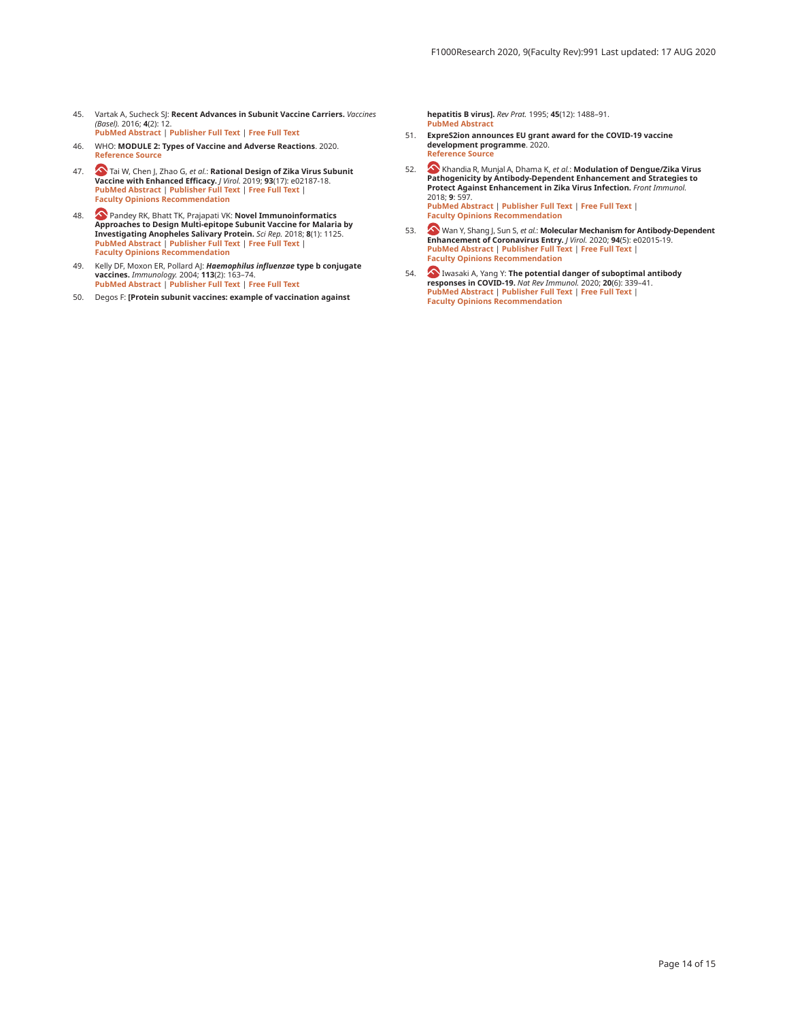- 45. Vartak A, Sucheck SJ: **Recent Advances in Subunit Vaccine Carriers.** *Vaccines* <br>*(Basel).* 2016; **4**(2): 12. **PubMed Abstract** | **Publisher Full Text** | **Free Full Text**
- 46. WHO: **MODULE 2: Types of Vaccine and Adverse Reactions**. 2020. **Reference Source**
- 47. Tai W, Chen J, Zhao G, *et al.*: **Rational Design of Zika Virus Subunit Vaccine with Enhanced Efficacy.** *J Virol.* 2019; **93**(17): e02187-18. **PubMed Abstract** | **Publisher Full Text** | **Free Full Text** | **Faculty Opinions Recommendation**
- 48. All Pandey RK, Bhatt TK, Prajapati VK: **Novel Immunoinformatics**<br>Approaches to Design Multi-epitope Subunit Vaccine for Malaria by<br>Investigating Anopheles Salivary Protein. Sci Rep. 2018; 8(1): 1125. **PubMed Abstract** | **Publisher Full Text** | **Free Full Text** | **Faculty Opinions Recommendation**
- 49. Kelly DF, Moxon ER, Pollard AJ: *Haemophilus influenzae* **type b conjugate vaccines.** *Immunology*. 2004; **113**(2): 163–74.<br><mark>PubMed Abstract | Publisher Full Text | Free Full Text</mark>
- 50. Degos F: **[Protein subunit vaccines: example of vaccination against**

**hepatitis B virus].** *Rev Prat.* 1995; **45**(12): 1488–91. **PubMed Abstract** 

- 51. **ExpreS2ion announces EU grant award for the COVID-19 vaccine development programme**. 2020. **Reference Source**
- 52. **•• Khandia R, Munjal A, Dhama K,** *et al.***: <b>Modulation of Dengue/Zika Virus Pathogenicity by Antibody-Dependent Enhancement and Strategies to Protect Against Enhancement in Zika Virus Infection.** *Front Immunol.* 2018; **9**: 597. **PubMed Abstract** | **Publisher Full Text** | **Free Full Text** | **Faculty Opinions Recommendation**
- 53. Wan Y, Shang J, Sun S, *et al.*: Molecular Mechanism for Antibody-Dependent<br>Enhancement of Coronavirus Entry, / Virol, 2020; 94(5): e02015-19.<br>PubMed Abstract | Publisher Full Text | Free Full Text | **Faculty Opinions Recommendation**
- 54. **(A)** Iwasaki A, Yang Y: The potential danger of suboptimal antibody **responses in COVID-19.** *Nat Rev Immunol.* 2020; **20**(6): 339–41. **PubMed Abstract** | **Publisher Full Text** | **Free Full Text** | **Faculty Opinions Recommendation**